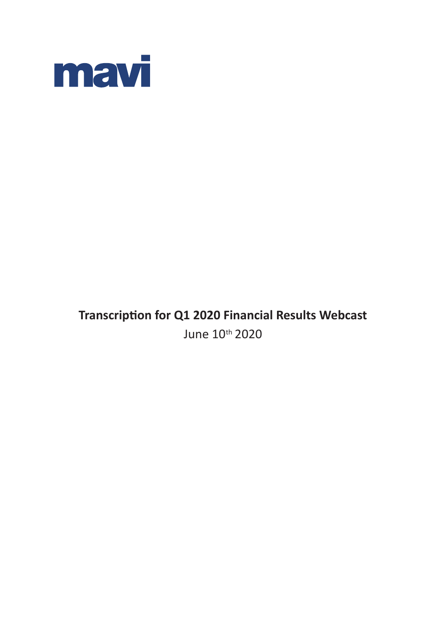

# **Transcription for Q1 2020 Financial Results Webcast** June 10th 2020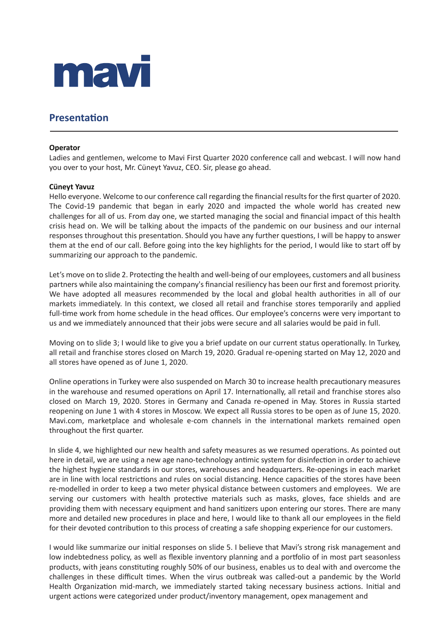

# **Presentation**

## **Operator**

Ladies and gentlemen, welcome to Mavi First Quarter 2020 conference call and webcast. I will now hand you over to your host, Mr. Cüneyt Yavuz, CEO. Sir, please go ahead.

## **Cüneyt Yavuz**

Hello everyone. Welcome to our conference call regarding the financial results for the first quarter of 2020. The Covid-19 pandemic that began in early 2020 and impacted the whole world has created new challenges for all of us. From day one, we started managing the social and financial impact of this health crisis head on. We will be talking about the impacts of the pandemic on our business and our internal responses throughout this presentation. Should you have any further questions, I will be happy to answer them at the end of our call. Before going into the key highlights for the period, I would like to start off by summarizing our approach to the pandemic.

Let's move on to slide 2. Protecting the health and well-being of our employees, customers and all business partners while also maintaining the company's financial resiliency has been our first and foremost priority. We have adopted all measures recommended by the local and global health authorities in all of our markets immediately. In this context, we closed all retail and franchise stores temporarily and applied full-time work from home schedule in the head offices. Our employee's concerns were very important to us and we immediately announced that their jobs were secure and all salaries would be paid in full.

Moving on to slide 3; I would like to give you a brief update on our current status operationally. In Turkey, all retail and franchise stores closed on March 19, 2020. Gradual re-opening started on May 12, 2020 and all stores have opened as of June 1, 2020.

Online operations in Turkey were also suspended on March 30 to increase health precautionary measures in the warehouse and resumed operations on April 17. Internationally, all retail and franchise stores also closed on March 19, 2020. Stores in Germany and Canada re-opened in May. Stores in Russia started reopening on June 1 with 4 stores in Moscow. We expect all Russia stores to be open as of June 15, 2020. Mavi.com, marketplace and wholesale e-com channels in the international markets remained open throughout the first quarter.

In slide 4, we highlighted our new health and safety measures as we resumed operations. As pointed out here in detail, we are using a new age nano-technology antimic system for disinfection in order to achieve the highest hygiene standards in our stores, warehouses and headquarters. Re-openings in each market are in line with local restrictions and rules on social distancing. Hence capacities of the stores have been re-modelled in order to keep a two meter physical distance between customers and employees. We are serving our customers with health protective materials such as masks, gloves, face shields and are providing them with necessary equipment and hand sanitizers upon entering our stores. There are many more and detailed new procedures in place and here, I would like to thank all our employees in the field for their devoted contribution to this process of creating a safe shopping experience for our customers.

I would like summarize our initial responses on slide 5. I believe that Mavi's strong risk management and low indebtedness policy, as well as flexible inventory planning and a portfolio of in most part seasonless products, with jeans constituting roughly 50% of our business, enables us to deal with and overcome the challenges in these difficult times. When the virus outbreak was called-out a pandemic by the World Health Organization mid-march, we immediately started taking necessary business actions. Initial and urgent actions were categorized under product/inventory management, opex management and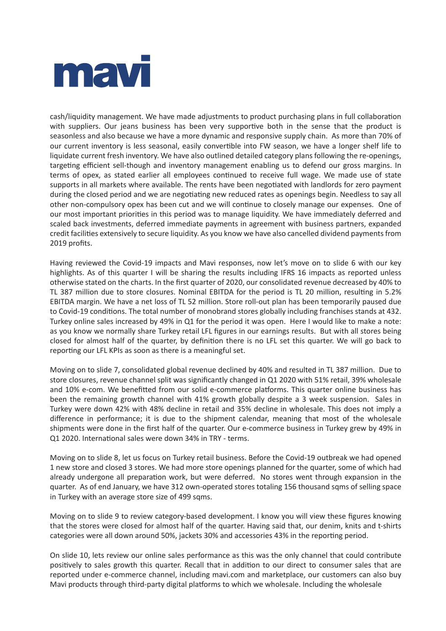

cash/liquidity management. We have made adjustments to product purchasing plans in full collaboration with suppliers. Our jeans business has been very supportive both in the sense that the product is seasonless and also because we have a more dynamic and responsive supply chain. As more than 70% of our current inventory is less seasonal, easily convertible into FW season, we have a longer shelf life to liquidate current fresh inventory. We have also outlined detailed category plans following the re-openings, targeting efficient sell-though and inventory management enabling us to defend our gross margins. In terms of opex, as stated earlier all employees continued to receive full wage. We made use of state supports in all markets where available. The rents have been negotiated with landlords for zero payment during the closed period and we are negotiating new reduced rates as openings begin. Needless to say all other non-compulsory opex has been cut and we will continue to closely manage our expenses. One of our most important priorities in this period was to manage liquidity. We have immediately deferred and scaled back investments, deferred immediate payments in agreement with business partners, expanded credit facilities extensively to secure liquidity. As you know we have also cancelled dividend payments from 2019 profits.

Having reviewed the Covid-19 impacts and Mavi responses, now let's move on to slide 6 with our key highlights. As of this quarter I will be sharing the results including IFRS 16 impacts as reported unless otherwise stated on the charts. In the first quarter of 2020, our consolidated revenue decreased by 40% to TL 387 million due to store closures. Nominal EBITDA for the period is TL 20 million, resulting in 5.2% EBITDA margin. We have a net loss of TL 52 million. Store roll-out plan has been temporarily paused due to Covid-19 conditions. The total number of monobrand stores globally including franchises stands at 432. Turkey online sales increased by 49% in Q1 for the period it was open. Here I would like to make a note: as you know we normally share Turkey retail LFL figures in our earnings results. But with all stores being closed for almost half of the quarter, by definition there is no LFL set this quarter. We will go back to reporting our LFL KPIs as soon as there is a meaningful set.

Moving on to slide 7, consolidated global revenue declined by 40% and resulted in TL 387 million. Due to store closures, revenue channel split was significantly changed in Q1 2020 with 51% retail, 39% wholesale and 10% e-com. We benefitted from our solid e-commerce platforms. This quarter online business has been the remaining growth channel with 41% growth globally despite a 3 week suspension. Sales in Turkey were down 42% with 48% decline in retail and 35% decline in wholesale. This does not imply a difference in performance; it is due to the shipment calendar, meaning that most of the wholesale shipments were done in the first half of the quarter. Our e-commerce business in Turkey grew by 49% in Q1 2020. International sales were down 34% in TRY - terms.

Moving on to slide 8, let us focus on Turkey retail business. Before the Covid-19 outbreak we had opened 1 new store and closed 3 stores. We had more store openings planned for the quarter, some of which had already undergone all preparation work, but were deferred. No stores went through expansion in the quarter. As of end January, we have 312 own-operated stores totaling 156 thousand sqms of selling space in Turkey with an average store size of 499 sqms.

Moving on to slide 9 to review category-based development. I know you will view these figures knowing that the stores were closed for almost half of the quarter. Having said that, our denim, knits and t-shirts categories were all down around 50%, jackets 30% and accessories 43% in the reporting period.

On slide 10, lets review our online sales performance as this was the only channel that could contribute positively to sales growth this quarter. Recall that in addition to our direct to consumer sales that are reported under e-commerce channel, including mavi.com and marketplace, our customers can also buy Mavi products through third-party digital platforms to which we wholesale. Including the wholesale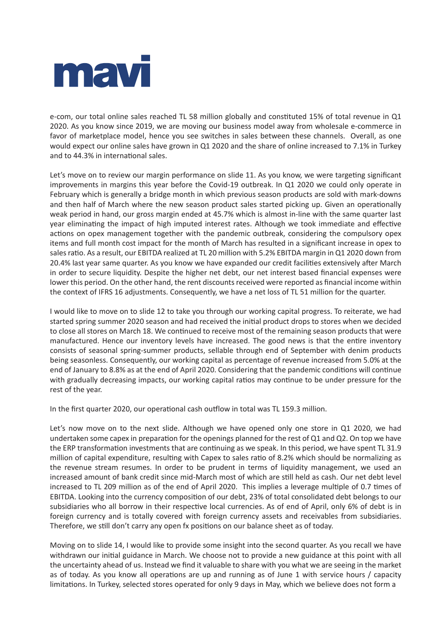

e-com, our total online sales reached TL 58 million globally and constituted 15% of total revenue in Q1 2020. As you know since 2019, we are moving our business model away from wholesale e-commerce in favor of marketplace model, hence you see switches in sales between these channels. Overall, as one would expect our online sales have grown in Q1 2020 and the share of online increased to 7.1% in Turkey and to 44.3% in international sales.

Let's move on to review our margin performance on slide 11. As you know, we were targeting significant improvements in margins this year before the Covid-19 outbreak. In Q1 2020 we could only operate in February which is generally a bridge month in which previous season products are sold with mark-downs and then half of March where the new season product sales started picking up. Given an operationally weak period in hand, our gross margin ended at 45.7% which is almost in-line with the same quarter last year eliminating the impact of high imputed interest rates. Although we took immediate and effective actions on opex management together with the pandemic outbreak, considering the compulsory opex items and full month cost impact for the month of March has resulted in a significant increase in opex to sales ratio. As a result, our EBITDA realized at TL 20 million with 5.2% EBITDA margin in Q1 2020 down from 20.4% last year same quarter. As you know we have expanded our credit facilities extensively after March in order to secure liquidity. Despite the higher net debt, our net interest based financial expenses were lower this period. On the other hand, the rent discounts received were reported as financial income within the context of IFRS 16 adjustments. Consequently, we have a net loss of TL 51 million for the quarter.

I would like to move on to slide 12 to take you through our working capital progress. To reiterate, we had started spring summer 2020 season and had received the initial product drops to stores when we decided to close all stores on March 18. We continued to receive most of the remaining season products that were manufactured. Hence our inventory levels have increased. The good news is that the entire inventory consists of seasonal spring-summer products, sellable through end of September with denim products being seasonless. Consequently, our working capital as percentage of revenue increased from 5.0% at the end of January to 8.8% as at the end of April 2020. Considering that the pandemic conditions will continue with gradually decreasing impacts, our working capital ratios may continue to be under pressure for the rest of the year.

In the first quarter 2020, our operational cash outflow in total was TL 159.3 million.

Let's now move on to the next slide. Although we have opened only one store in Q1 2020, we had undertaken some capex in preparation for the openings planned for the rest of Q1 and Q2. On top we have the ERP transformation investments that are continuing as we speak. In this period, we have spent TL 31.9 million of capital expenditure, resulting with Capex to sales ratio of 8.2% which should be normalizing as the revenue stream resumes. In order to be prudent in terms of liquidity management, we used an increased amount of bank credit since mid-March most of which are still held as cash. Our net debt level increased to TL 209 million as of the end of April 2020. This implies a leverage multiple of 0.7 times of EBITDA. Looking into the currency composition of our debt, 23% of total consolidated debt belongs to our subsidiaries who all borrow in their respective local currencies. As of end of April, only 6% of debt is in foreign currency and is totally covered with foreign currency assets and receivables from subsidiaries. Therefore, we still don't carry any open fx positions on our balance sheet as of today.

Moving on to slide 14, I would like to provide some insight into the second quarter. As you recall we have withdrawn our initial guidance in March. We choose not to provide a new guidance at this point with all the uncertainty ahead of us. Instead we find it valuable to share with you what we are seeing in the market as of today. As you know all operations are up and running as of June 1 with service hours / capacity limitations. In Turkey, selected stores operated for only 9 days in May, which we believe does not form a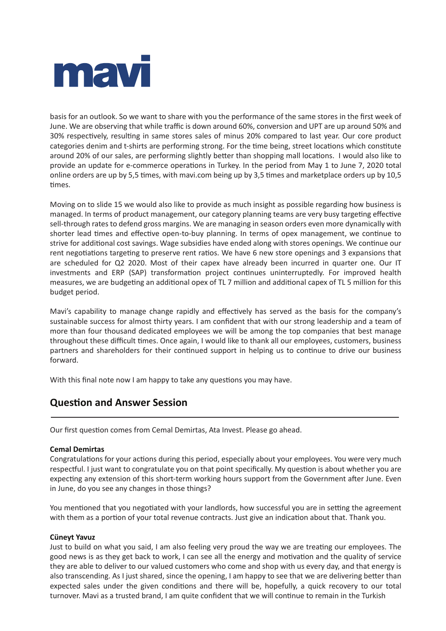

basis for an outlook. So we want to share with you the performance of the same stores in the first week of June. We are observing that while traffic is down around 60%, conversion and UPT are up around 50% and 30% respectively, resulting in same stores sales of minus 20% compared to last year. Our core product categories denim and t-shirts are performing strong. For the time being, street locations which constitute around 20% of our sales, are performing slightly better than shopping mall locations. I would also like to provide an update for e-commerce operations in Turkey. In the period from May 1 to June 7, 2020 total online orders are up by 5,5 times, with mavi.com being up by 3,5 times and marketplace orders up by 10,5 times.

Moving on to slide 15 we would also like to provide as much insight as possible regarding how business is managed. In terms of product management, our category planning teams are very busy targeting effective sell-through rates to defend gross margins. We are managing in season orders even more dynamically with shorter lead times and effective open-to-buy planning. In terms of opex management, we continue to strive for additional cost savings. Wage subsidies have ended along with stores openings. We continue our rent negotiations targeting to preserve rent ratios. We have 6 new store openings and 3 expansions that are scheduled for Q2 2020. Most of their capex have already been incurred in quarter one. Our IT investments and ERP (SAP) transformation project continues uninterruptedly. For improved health measures, we are budgeting an additional opex of TL 7 million and additional capex of TL 5 million for this budget period.

Mavi's capability to manage change rapidly and effectively has served as the basis for the company's sustainable success for almost thirty years. I am confident that with our strong leadership and a team of more than four thousand dedicated employees we will be among the top companies that best manage throughout these difficult times. Once again, I would like to thank all our employees, customers, business partners and shareholders for their continued support in helping us to continue to drive our business forward.

With this final note now I am happy to take any questions you may have.

# **Question and Answer Session**

Our first question comes from Cemal Demirtas, Ata Invest. Please go ahead.

# **Cemal Demirtas**

Congratulations for your actions during this period, especially about your employees. You were very much respectful. I just want to congratulate you on that point specifically. My question is about whether you are expecting any extension of this short-term working hours support from the Government after June. Even in June, do you see any changes in those things?

You mentioned that you negotiated with your landlords, how successful you are in setting the agreement with them as a portion of your total revenue contracts. Just give an indication about that. Thank you.

# **Cüneyt Yavuz**

Just to build on what you said, I am also feeling very proud the way we are treating our employees. The good news is as they get back to work, I can see all the energy and motivation and the quality of service they are able to deliver to our valued customers who come and shop with us every day, and that energy is also transcending. As I just shared, since the opening, I am happy to see that we are delivering better than expected sales under the given conditions and there will be, hopefully, a quick recovery to our total turnover. Mavi as a trusted brand, I am quite confident that we will continue to remain in the Turkish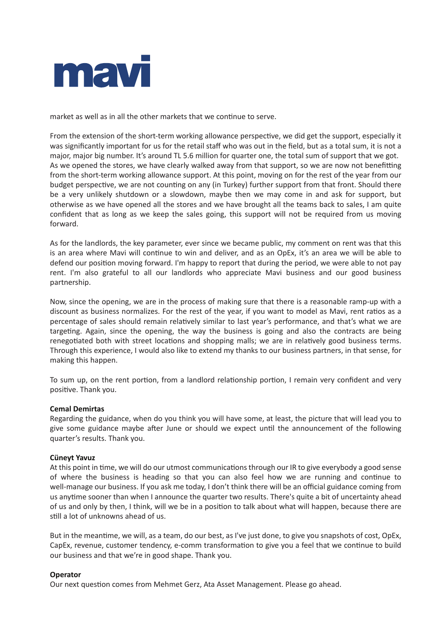

market as well as in all the other markets that we continue to serve.

From the extension of the short-term working allowance perspective, we did get the support, especially it was significantly important for us for the retail staff who was out in the field, but as a total sum, it is not a major, major big number. It's around TL 5.6 million for quarter one, the total sum of support that we got. As we opened the stores, we have clearly walked away from that support, so we are now not benefitting from the short-term working allowance support. At this point, moving on for the rest of the year from our budget perspective, we are not counting on any (in Turkey) further support from that front. Should there be a very unlikely shutdown or a slowdown, maybe then we may come in and ask for support, but otherwise as we have opened all the stores and we have brought all the teams back to sales, I am quite confident that as long as we keep the sales going, this support will not be required from us moving forward.

As for the landlords, the key parameter, ever since we became public, my comment on rent was that this is an area where Mavi will continue to win and deliver, and as an OpEx, it's an area we will be able to defend our position moving forward. I'm happy to report that during the period, we were able to not pay rent. I'm also grateful to all our landlords who appreciate Mavi business and our good business partnership.

Now, since the opening, we are in the process of making sure that there is a reasonable ramp-up with a discount as business normalizes. For the rest of the year, if you want to model as Mavi, rent ratios as a percentage of sales should remain relatively similar to last year's performance, and that's what we are targeting. Again, since the opening, the way the business is going and also the contracts are being renegotiated both with street locations and shopping malls; we are in relatively good business terms. Through this experience, I would also like to extend my thanks to our business partners, in that sense, for making this happen.

To sum up, on the rent portion, from a landlord relationship portion, I remain very confident and very positive. Thank you.

# **Cemal Demirtas**

Regarding the guidance, when do you think you will have some, at least, the picture that will lead you to give some guidance maybe after June or should we expect until the announcement of the following quarter's results. Thank you.

# **Cüneyt Yavuz**

At this point in time, we will do our utmost communications through our IR to give everybody a good sense of where the business is heading so that you can also feel how we are running and continue to well-manage our business. If you ask me today, I don't think there will be an official guidance coming from us anytime sooner than when I announce the quarter two results. There's quite a bit of uncertainty ahead of us and only by then, I think, will we be in a position to talk about what will happen, because there are still a lot of unknowns ahead of us.

But in the meantime, we will, as a team, do our best, as I've just done, to give you snapshots of cost, OpEx, CapEx, revenue, customer tendency, e-comm transformation to give you a feel that we continue to build our business and that we're in good shape. Thank you.

#### **Operator**

Our next question comes from Mehmet Gerz, Ata Asset Management. Please go ahead.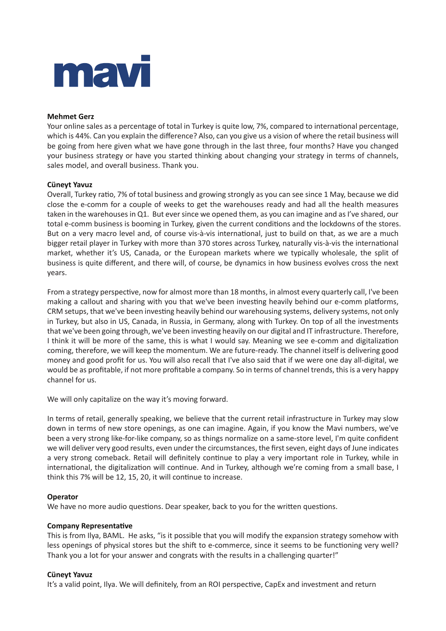

# **Mehmet Gerz**

Your online sales as a percentage of total in Turkey is quite low, 7%, compared to international percentage, which is 44%. Can you explain the difference? Also, can you give us a vision of where the retail business will be going from here given what we have gone through in the last three, four months? Have you changed your business strategy or have you started thinking about changing your strategy in terms of channels, sales model, and overall business. Thank you.

## **Cüneyt Yavuz**

Overall, Turkey ratio, 7% of total business and growing strongly as you can see since 1 May, because we did close the e-comm for a couple of weeks to get the warehouses ready and had all the health measures taken in the warehouses in Q1. But ever since we opened them, as you can imagine and as I've shared, our total e-comm business is booming in Turkey, given the current conditions and the lockdowns of the stores. But on a very macro level and, of course vis-à-vis international, just to build on that, as we are a much bigger retail player in Turkey with more than 370 stores across Turkey, naturally vis-à-vis the international market, whether it's US, Canada, or the European markets where we typically wholesale, the split of business is quite different, and there will, of course, be dynamics in how business evolves cross the next years.

From a strategy perspective, now for almost more than 18 months, in almost every quarterly call, I've been making a callout and sharing with you that we've been investing heavily behind our e-comm platforms, CRM setups, that we've been investing heavily behind our warehousing systems, delivery systems, not only in Turkey, but also in US, Canada, in Russia, in Germany, along with Turkey. On top of all the investments that we've been going through, we've been investing heavily on our digital and IT infrastructure. Therefore, I think it will be more of the same, this is what I would say. Meaning we see e-comm and digitalization coming, therefore, we will keep the momentum. We are future-ready. The channel itself is delivering good money and good profit for us. You will also recall that I've also said that if we were one day all-digital, we would be as profitable, if not more profitable a company. So in terms of channel trends, this is a very happy channel for us.

We will only capitalize on the way it's moving forward.

In terms of retail, generally speaking, we believe that the current retail infrastructure in Turkey may slow down in terms of new store openings, as one can imagine. Again, if you know the Mavi numbers, we've been a very strong like-for-like company, so as things normalize on a same-store level, I'm quite confident we will deliver very good results, even under the circumstances, the first seven, eight days of June indicates a very strong comeback. Retail will definitely continue to play a very important role in Turkey, while in international, the digitalization will continue. And in Turkey, although we're coming from a small base, I think this 7% will be 12, 15, 20, it will continue to increase.

# **Operator**

We have no more audio questions. Dear speaker, back to you for the written questions.

#### **Company Representative**

This is from Ilya, BAML. He asks, "is it possible that you will modify the expansion strategy somehow with less openings of physical stores but the shift to e-commerce, since it seems to be functioning very well? Thank you a lot for your answer and congrats with the results in a challenging quarter!"

# **Cüneyt Yavuz**

It's a valid point, Ilya. We will definitely, from an ROI perspective, CapEx and investment and return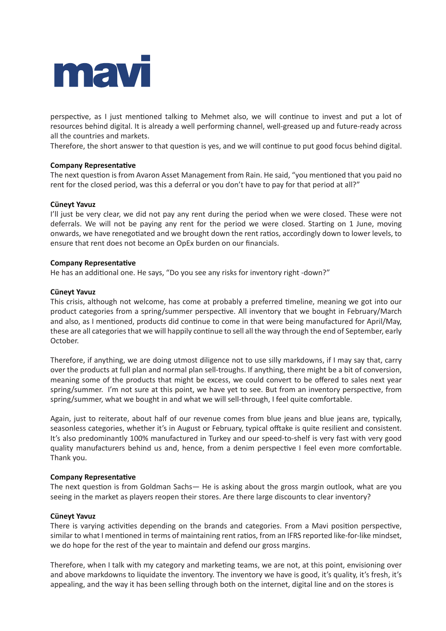

perspective, as I just mentioned talking to Mehmet also, we will continue to invest and put a lot of resources behind digital. It is already a well performing channel, well-greased up and future-ready across all the countries and markets.

Therefore, the short answer to that question is yes, and we will continue to put good focus behind digital.

## **Company Representative**

The next question is from Avaron Asset Management from Rain. He said, "you mentioned that you paid no rent for the closed period, was this a deferral or you don't have to pay for that period at all?"

## **Cüneyt Yavuz**

I'll just be very clear, we did not pay any rent during the period when we were closed. These were not deferrals. We will not be paying any rent for the period we were closed. Starting on 1 June, moving onwards, we have renegotiated and we brought down the rent ratios, accordingly down to lower levels, to ensure that rent does not become an OpEx burden on our financials.

#### **Company Representative**

He has an additional one. He says, "Do you see any risks for inventory right -down?"

#### **Cüneyt Yavuz**

This crisis, although not welcome, has come at probably a preferred timeline, meaning we got into our product categories from a spring/summer perspective. All inventory that we bought in February/March and also, as I mentioned, products did continue to come in that were being manufactured for April/May, these are all categories that we will happily continue to sell all the way through the end of September, early October.

Therefore, if anything, we are doing utmost diligence not to use silly markdowns, if I may say that, carry over the products at full plan and normal plan sell-troughs. If anything, there might be a bit of conversion, meaning some of the products that might be excess, we could convert to be offered to sales next year spring/summer. I'm not sure at this point, we have yet to see. But from an inventory perspective, from spring/summer, what we bought in and what we will sell-through, I feel quite comfortable.

Again, just to reiterate, about half of our revenue comes from blue jeans and blue jeans are, typically, seasonless categories, whether it's in August or February, typical offtake is quite resilient and consistent. It's also predominantly 100% manufactured in Turkey and our speed-to-shelf is very fast with very good quality manufacturers behind us and, hence, from a denim perspective I feel even more comfortable. Thank you.

#### **Company Representative**

The next question is from Goldman Sachs— He is asking about the gross margin outlook, what are you seeing in the market as players reopen their stores. Are there large discounts to clear inventory?

#### **Cüneyt Yavuz**

There is varying activities depending on the brands and categories. From a Mavi position perspective, similar to what I mentioned in terms of maintaining rent ratios, from an IFRS reported like-for-like mindset, we do hope for the rest of the year to maintain and defend our gross margins.

Therefore, when I talk with my category and marketing teams, we are not, at this point, envisioning over and above markdowns to liquidate the inventory. The inventory we have is good, it's quality, it's fresh, it's appealing, and the way it has been selling through both on the internet, digital line and on the stores is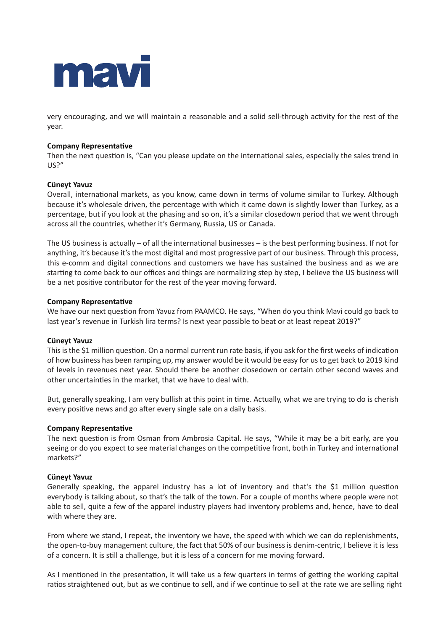

very encouraging, and we will maintain a reasonable and a solid sell-through activity for the rest of the year.

## **Company Representative**

Then the next question is, "Can you please update on the international sales, especially the sales trend in US?"

## **Cüneyt Yavuz**

Overall, international markets, as you know, came down in terms of volume similar to Turkey. Although because it's wholesale driven, the percentage with which it came down is slightly lower than Turkey, as a percentage, but if you look at the phasing and so on, it's a similar closedown period that we went through across all the countries, whether it's Germany, Russia, US or Canada.

The US business is actually – of all the international businesses – is the best performing business. If not for anything, it's because it's the most digital and most progressive part of our business. Through this process, this e-comm and digital connections and customers we have has sustained the business and as we are starting to come back to our offices and things are normalizing step by step, I believe the US business will be a net positive contributor for the rest of the year moving forward.

## **Company Representative**

We have our next question from Yavuz from PAAMCO. He says, "When do you think Mavi could go back to last year's revenue in Turkish lira terms? Is next year possible to beat or at least repeat 2019?"

# **Cüneyt Yavuz**

This is the \$1 million question. On a normal current run rate basis, if you ask for the first weeks of indication of how business has been ramping up, my answer would be it would be easy for us to get back to 2019 kind of levels in revenues next year. Should there be another closedown or certain other second waves and other uncertainties in the market, that we have to deal with.

But, generally speaking, I am very bullish at this point in time. Actually, what we are trying to do is cherish every positive news and go after every single sale on a daily basis.

#### **Company Representative**

The next question is from Osman from Ambrosia Capital. He says, "While it may be a bit early, are you seeing or do you expect to see material changes on the competitive front, both in Turkey and international markets?"

#### **Cüneyt Yavuz**

Generally speaking, the apparel industry has a lot of inventory and that's the \$1 million question everybody is talking about, so that's the talk of the town. For a couple of months where people were not able to sell, quite a few of the apparel industry players had inventory problems and, hence, have to deal with where they are.

From where we stand, I repeat, the inventory we have, the speed with which we can do replenishments, the open-to-buy management culture, the fact that 50% of our business is denim-centric, I believe it is less of a concern. It is still a challenge, but it is less of a concern for me moving forward.

As I mentioned in the presentation, it will take us a few quarters in terms of getting the working capital ratios straightened out, but as we continue to sell, and if we continue to sell at the rate we are selling right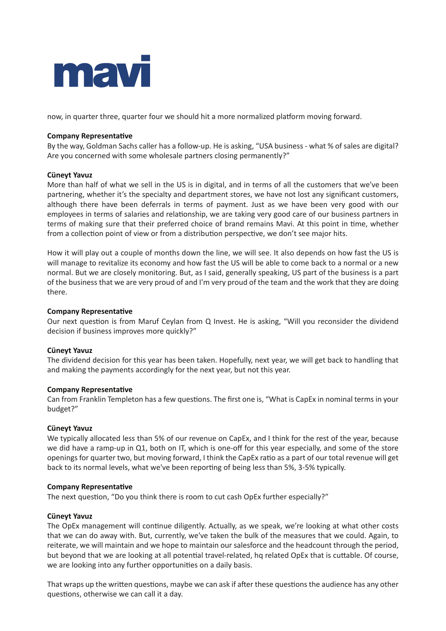

now, in quarter three, quarter four we should hit a more normalized platform moving forward.

# **Company Representative**

By the way, Goldman Sachs caller has a follow-up. He is asking, "USA business - what % of sales are digital? Are you concerned with some wholesale partners closing permanently?"

## **Cüneyt Yavuz**

More than half of what we sell in the US is in digital, and in terms of all the customers that we've been partnering, whether it's the specialty and department stores, we have not lost any significant customers, although there have been deferrals in terms of payment. Just as we have been very good with our employees in terms of salaries and relationship, we are taking very good care of our business partners in terms of making sure that their preferred choice of brand remains Mavi. At this point in time, whether from a collection point of view or from a distribution perspective, we don't see major hits.

How it will play out a couple of months down the line, we will see. It also depends on how fast the US is will manage to revitalize its economy and how fast the US will be able to come back to a normal or a new normal. But we are closely monitoring. But, as I said, generally speaking, US part of the business is a part of the business that we are very proud of and I'm very proud of the team and the work that they are doing there.

## **Company Representative**

Our next question is from Maruf Ceylan from Q Invest. He is asking, "Will you reconsider the dividend decision if business improves more quickly?"

# **Cüneyt Yavuz**

The dividend decision for this year has been taken. Hopefully, next year, we will get back to handling that and making the payments accordingly for the next year, but not this year.

#### **Company Representative**

Can from Franklin Templeton has a few questions. The first one is, "What is CapEx in nominal terms in your budget?"

# **Cüneyt Yavuz**

We typically allocated less than 5% of our revenue on CapEx, and I think for the rest of the year, because we did have a ramp-up in Q1, both on IT, which is one-off for this year especially, and some of the store openings for quarter two, but moving forward, I think the CapEx ratio as a part of our total revenue will get back to its normal levels, what we've been reporting of being less than 5%, 3-5% typically.

#### **Company Representative**

The next question, "Do you think there is room to cut cash OpEx further especially?"

#### **Cüneyt Yavuz**

The OpEx management will continue diligently. Actually, as we speak, we're looking at what other costs that we can do away with. But, currently, we've taken the bulk of the measures that we could. Again, to reiterate, we will maintain and we hope to maintain our salesforce and the headcount through the period, but beyond that we are looking at all potential travel-related, hq related OpEx that is cuttable. Of course, we are looking into any further opportunities on a daily basis.

That wraps up the written questions, maybe we can ask if after these questions the audience has any other questions, otherwise we can call it a day.